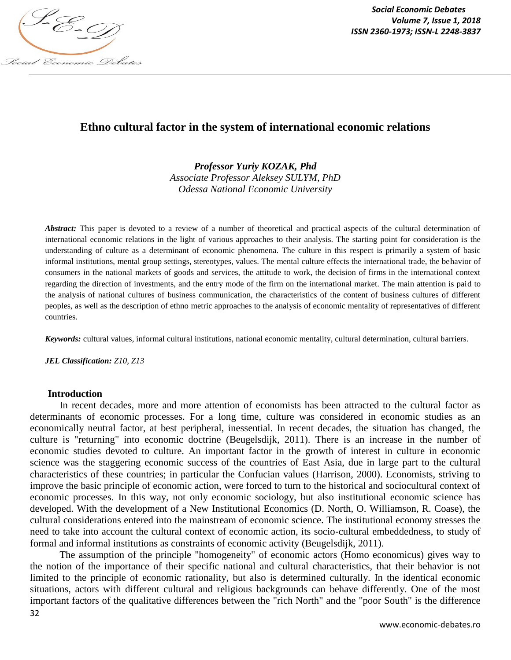

*Social Economic Debates Volume 7, Issue 1, 2018*

## **Ethno cultural factor in the system of international economic relations**

*Professor Yuriy KOZAK, Phd*

*Associate Professor Aleksey SULYM, PhD Odessa National Economic University*

*Abstract:* This paper is devoted to a review of a number of theoretical and practical aspects of the cultural determination of international economic relations in the light of various approaches to their analysis. The starting point for consideration is the understanding of culture as a determinant of economic phenomena. The culture in this respect is primarily a system of basic informal institutions, mental group settings, stereotypes, values. The mental culture effects the international trade, the behavior of consumers in the national markets of goods and services, the attitude to work, the decision of firms in the international context regarding the direction of investments, and the entry mode of the firm on the international market. The main attention is paid to the analysis of national cultures of business communication, the characteristics of the content of business cultures of different peoples, as well as the description of ethno metric approaches to the analysis of economic mentality of representatives of different countries.

*Keywords:* cultural values, informal cultural institutions, national economic mentality, cultural determination, cultural barriers.

*JEL Classification: Z10, Z13*

## **Introduction**

In recent decades, more and more attention of economists has been attracted to the cultural factor as determinants of economic processes. For a long time, culture was considered in economic studies as an economically neutral factor, at best peripheral, inessential. In recent decades, the situation has changed, the culture is "returning" into economic doctrine (Beugelsdijk, 2011). There is an increase in the number of economic studies devoted to culture. An important factor in the growth of interest in culture in economic science was the staggering economic success of the countries of East Asia, due in large part to the cultural characteristics of these countries; in particular the Confucian values (Harrison, 2000). Economists, striving to improve the basic principle of economic action, were forced to turn to the historical and sociocultural context of economic processes. In this way, not only economic sociology, but also institutional economic science has developed. With the development of a New Institutional Economics (D. North, O. Williamson, R. Coase), the cultural considerations entered into the mainstream of economic science. The institutional economy stresses the need to take into account the cultural context of economic action, its socio-cultural embeddedness, to study of formal and informal institutions as constraints of economic activity (Beugelsdijk, 2011).

The assumption of the principle "homogeneity" of economic actors (Homo economicus) gives way to the notion of the importance of their specific national and cultural characteristics, that their behavior is not limited to the principle of economic rationality, but also is determined culturally. In the identical economic situations, actors with different cultural and religious backgrounds can behave differently. One of the most important factors of the qualitative differences between the "rich North" and the "poor South" is the difference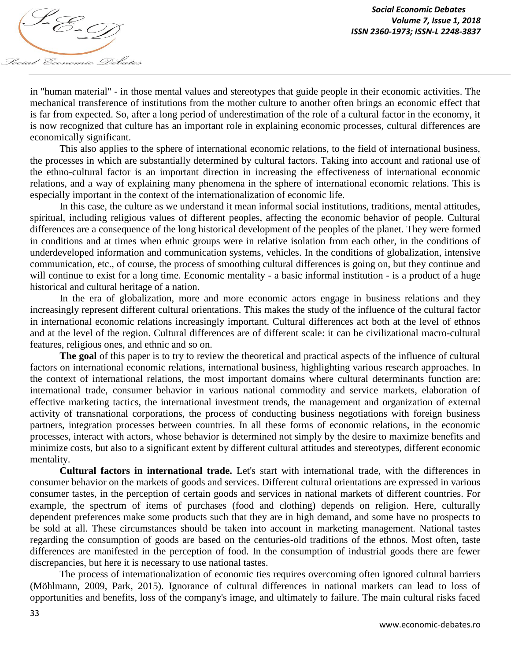

in "human material" - in those mental values and stereotypes that guide people in their economic activities. The mechanical transference of institutions from the mother culture to another often brings an economic effect that is far from expected. So, after a long period of underestimation of the role of a cultural factor in the economy, it is now recognized that culture has an important role in explaining economic processes, cultural differences are economically significant.

This also applies to the sphere of international economic relations, to the field of international business, the processes in which are substantially determined by cultural factors. Taking into account and rational use of the ethno-cultural factor is an important direction in increasing the effectiveness of international economic relations, and a way of explaining many phenomena in the sphere of international economic relations. This is especially important in the context of the internationalization of economic life.

In this case, the culture as we understand it mean informal social institutions, traditions, mental attitudes, spiritual, including religious values of different peoples, affecting the economic behavior of people. Cultural differences are a consequence of the long historical development of the peoples of the planet. They were formed in conditions and at times when ethnic groups were in relative isolation from each other, in the conditions of underdeveloped information and communication systems, vehicles. In the conditions of globalization, intensive communication, etc., of course, the process of smoothing cultural differences is going on, but they continue and will continue to exist for a long time. Economic mentality - a basic informal institution - is a product of a huge historical and cultural heritage of a nation.

In the era of globalization, more and more economic actors engage in business relations and they increasingly represent different cultural orientations. This makes the study of the influence of the cultural factor in international economic relations increasingly important. Cultural differences act both at the level of ethnos and at the level of the region. Cultural differences are of different scale: it can be civilizational macro-cultural features, religious ones, and ethnic and so on.

**The goal** of this paper is to try to review the theoretical and practical aspects of the influence of cultural factors on international economic relations, international business, highlighting various research approaches. In the context of international relations, the most important domains where cultural determinants function are: international trade, consumer behavior in various national commodity and service markets, elaboration of effective marketing tactics, the international investment trends, the management and organization of external activity of transnational corporations, the process of conducting business negotiations with foreign business partners, integration processes between countries. In all these forms of economic relations, in the economic processes, interact with actors, whose behavior is determined not simply by the desire to maximize benefits and minimize costs, but also to a significant extent by different cultural attitudes and stereotypes, different economic mentality.

**Cultural factors in international trade.** Let's start with international trade, with the differences in consumer behavior on the markets of goods and services. Different cultural orientations are expressed in various consumer tastes, in the perception of certain goods and services in national markets of different countries. For example, the spectrum of items of purchases (food and clothing) depends on religion. Here, culturally dependent preferences make some products such that they are in high demand, and some have no prospects to be sold at all. These circumstances should be taken into account in marketing management. National tastes regarding the consumption of goods are based on the centuries-old traditions of the ethnos. Most often, taste differences are manifested in the perception of food. In the consumption of industrial goods there are fewer discrepancies, but here it is necessary to use national tastes.

The process of internationalization of economic ties requires overcoming often ignored cultural barriers (Möhlmann, 2009, Park, 2015). Ignorance of cultural differences in national markets can lead to loss of opportunities and benefits, loss of the company's image, and ultimately to failure. The main cultural risks faced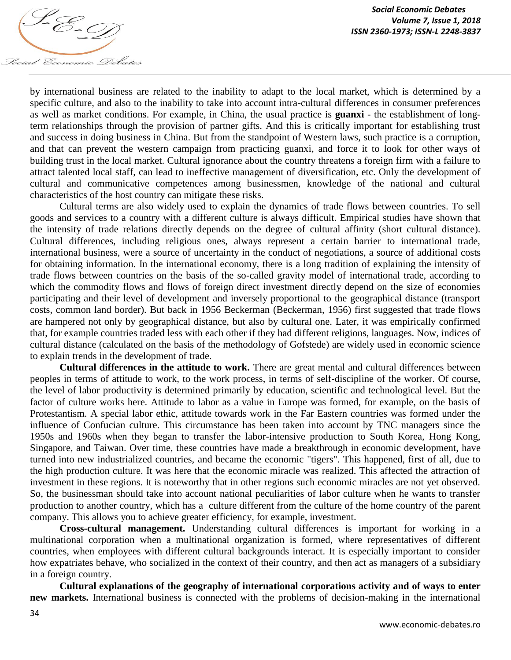

by international business are related to the inability to adapt to the local market, which is determined by a specific culture, and also to the inability to take into account intra-cultural differences in consumer preferences as well as market conditions. For example, in China, the usual practice is **guanxi** - the establishment of longterm relationships through the provision of partner gifts. And this is critically important for establishing trust and success in doing business in China. But from the standpoint of Western laws, such practice is a corruption, and that can prevent the western campaign from practicing guanxi, and force it to look for other ways of building trust in the local market. Cultural ignorance about the country threatens a foreign firm with a failure to attract talented local staff, can lead to ineffective management of diversification, etc. Only the development of cultural and communicative competences among businessmen, knowledge of the national and cultural characteristics of the host country can mitigate these risks.

Cultural terms are also widely used to explain the dynamics of trade flows between countries. To sell goods and services to a country with a different culture is always difficult. Empirical studies have shown that the intensity of trade relations directly depends on the degree of cultural affinity (short cultural distance). Cultural differences, including religious ones, always represent a certain barrier to international trade, international business, were a source of uncertainty in the conduct of negotiations, a source of additional costs for obtaining information. In the international economy, there is a long tradition of explaining the intensity of trade flows between countries on the basis of the so-called gravity model of international trade, according to which the commodity flows and flows of foreign direct investment directly depend on the size of economies participating and their level of development and inversely proportional to the geographical distance (transport costs, common land border). But back in 1956 Beckerman (Beckerman, 1956) first suggested that trade flows are hampered not only by geographical distance, but also by cultural one. Later, it was empirically confirmed that, for example countries traded less with each other if they had different religions, languages. Now, indices of cultural distance (calculated on the basis of the methodology of Gofstede) are widely used in economic science to explain trends in the development of trade.

**Cultural differences in the attitude to work.** There are great mental and cultural differences between peoples in terms of attitude to work, to the work process, in terms of self-discipline of the worker. Of course, the level of labor productivity is determined primarily by education, scientific and technological level. But the factor of culture works here. Attitude to labor as a value in Europe was formed, for example, on the basis of Protestantism. A special labor ethic, attitude towards work in the Far Eastern countries was formed under the influence of Confucian culture. This circumstance has been taken into account by TNC managers since the 1950s and 1960s when they began to transfer the labor-intensive production to South Korea, Hong Kong, Singapore, and Taiwan. Over time, these countries have made a breakthrough in economic development, have turned into new industrialized countries, and became the economic "tigers". This happened, first of all, due to the high production culture. It was here that the economic miracle was realized. This affected the attraction of investment in these regions. It is noteworthy that in other regions such economic miracles are not yet observed. So, the businessman should take into account national peculiarities of labor culture when he wants to transfer production to another country, which has a culture different from the culture of the home country of the parent company. This allows you to achieve greater efficiency, for example, investment.

**Cross-cultural management.** Understanding cultural differences is important for working in a multinational corporation when a multinational organization is formed, where representatives of different countries, when employees with different cultural backgrounds interact. It is especially important to consider how expatriates behave, who socialized in the context of their country, and then act as managers of a subsidiary in a foreign country.

**Cultural explanations of the geography of international corporations activity and of ways to enter new markets.** International business is connected with the problems of decision-making in the international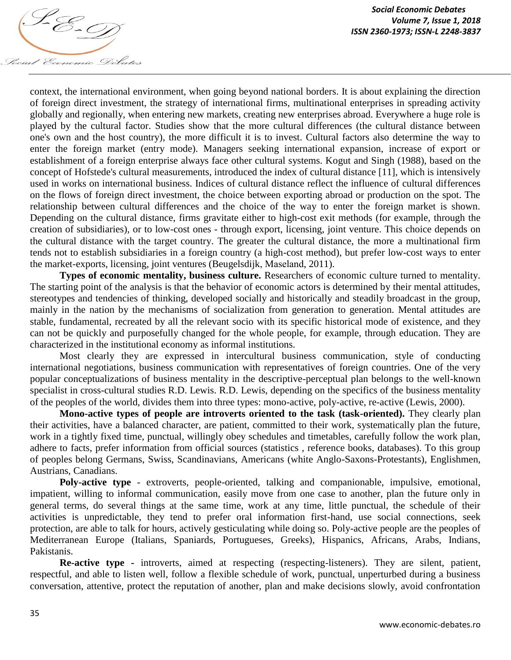

context, the international environment, when going beyond national borders. It is about explaining the direction of foreign direct investment, the strategy of international firms, multinational enterprises in spreading activity globally and regionally, when entering new markets, creating new enterprises abroad. Everywhere a huge role is played by the cultural factor. Studies show that the more cultural differences (the cultural distance between one's own and the host country), the more difficult it is to invest. Cultural factors also determine the way to enter the foreign market (entry mode). Managers seeking international expansion, increase of export or establishment of a foreign enterprise always face other cultural systems. Kogut and Singh (1988), based on the concept of Hofstede's cultural measurements, introduced the index of cultural distance [11], which is intensively used in works on international business. Indices of cultural distance reflect the influence of cultural differences on the flows of foreign direct investment, the choice between exporting abroad or production on the spot. The relationship between cultural differences and the choice of the way to enter the foreign market is shown. Depending on the cultural distance, firms gravitate either to high-cost exit methods (for example, through the creation of subsidiaries), or to low-cost ones - through export, licensing, joint venture. This choice depends on the cultural distance with the target country. The greater the cultural distance, the more a multinational firm tends not to establish subsidiaries in a foreign country (a high-cost method), but prefer low-cost ways to enter the market-exports, licensing, joint ventures (Beugelsdijk, Маseland, 2011).

**Types of economic mentality, business culture.** Researchers of economic culture turned to mentality. The starting point of the analysis is that the behavior of economic actors is determined by their mental attitudes, stereotypes and tendencies of thinking, developed socially and historically and steadily broadcast in the group, mainly in the nation by the mechanisms of socialization from generation to generation. Mental attitudes are stable, fundamental, recreated by all the relevant socio with its specific historical mode of existence, and they can not be quickly and purposefully changed for the whole people, for example, through education. They are characterized in the institutional economy as informal institutions.

Most clearly they are expressed in intercultural business communication, style of conducting international negotiations, business communication with representatives of foreign countries. One of the very popular conceptualizations of business mentality in the descriptive-perceptual plan belongs to the well-known specialist in cross-cultural studies R.D. Lewis. R.D. Lewis, depending on the specifics of the business mentality of the peoples of the world, divides them into three types: mono-active, poly-active, re-active (Lewis, 2000).

**Mono-active types of people are introverts oriented to the task (task-oriented).** They clearly plan their activities, have a balanced character, are patient, committed to their work, systematically plan the future, work in a tightly fixed time, punctual, willingly obey schedules and timetables, carefully follow the work plan, adhere to facts, prefer information from official sources (statistics , reference books, databases). To this group of peoples belong Germans, Swiss, Scandinavians, Americans (white Anglo-Saxons-Protestants), Englishmen, Austrians, Canadians.

**Poly-active type** - extroverts, people-oriented, talking and companionable, impulsive, emotional, impatient, willing to informal communication, easily move from one case to another, plan the future only in general terms, do several things at the same time, work at any time, little punctual, the schedule of their activities is unpredictable, they tend to prefer oral information first-hand, use social connections, seek protection, are able to talk for hours, actively gesticulating while doing so. Poly-active people are the peoples of Mediterranean Europe (Italians, Spaniards, Portugueses, Greeks), Hispanics, Africans, Arabs, Indians, Pakistanis.

**Re-active type -** introverts, aimed at respecting (respecting-listeners). They are silent, patient, respectful, and able to listen well, follow a flexible schedule of work, punctual, unperturbed during a business conversation, attentive, protect the reputation of another, plan and make decisions slowly, avoid confrontation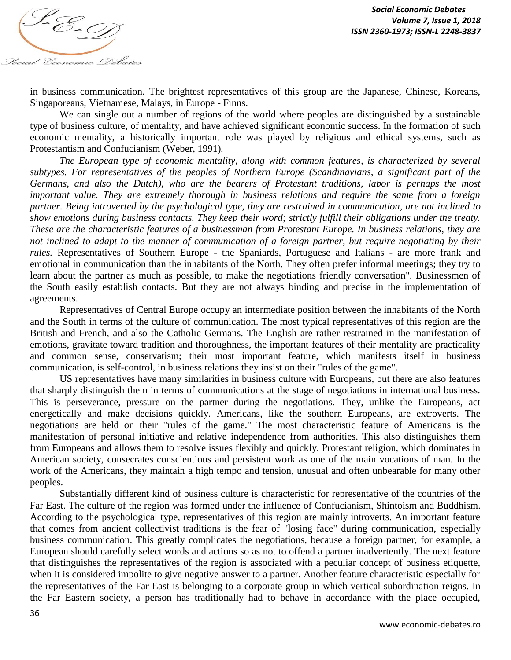

in business communication. The brightest representatives of this group are the Japanese, Chinese, Koreans, Singaporeans, Vietnamese, Malays, in Europe - Finns.

We can single out a number of regions of the world where peoples are distinguished by a sustainable type of business culture, of mentality, and have achieved significant economic success. In the formation of such economic mentality, a historically important role was played by religious and ethical systems, such as Protestantism and Confucianism (Weber, 1991)*.*

*The European type of economic mentality, along with common features, is characterized by several subtypes. For representatives of the peoples of Northern Europe (Scandinavians, a significant part of the Germans, and also the Dutch), who are the bearers of Protestant traditions, labor is perhaps the most important value. They are extremely thorough in business relations and require the same from a foreign partner. Being introverted by the psychological type, they are restrained in communication, are not inclined to show emotions during business contacts. They keep their word; strictly fulfill their obligations under the treaty. These are the characteristic features of a businessman from Protestant Europe. In business relations, they are not inclined to adapt to the manner of communication of a foreign partner, but require negotiating by their rules.* Representatives of Southern Europe - the Spaniards, Portuguese and Italians - are more frank and emotional in communication than the inhabitants of the North. They often prefer informal meetings; they try to learn about the partner as much as possible, to make the negotiations friendly conversation". Businessmen of the South easily establish contacts. But they are not always binding and precise in the implementation of agreements.

Representatives of Central Europe occupy an intermediate position between the inhabitants of the North and the South in terms of the culture of communication. The most typical representatives of this region are the British and French, and also the Catholic Germans. The English are rather restrained in the manifestation of emotions, gravitate toward tradition and thoroughness, the important features of their mentality are practicality and common sense, conservatism; their most important feature, which manifests itself in business communication, is self-control, in business relations they insist on their "rules of the game".

US representatives have many similarities in business culture with Europeans, but there are also features that sharply distinguish them in terms of communications at the stage of negotiations in international business. This is perseverance, pressure on the partner during the negotiations. They, unlike the Europeans, act energetically and make decisions quickly. Americans, like the southern Europeans, are extroverts. The negotiations are held on their "rules of the game." The most characteristic feature of Americans is the manifestation of personal initiative and relative independence from authorities. This also distinguishes them from Europeans and allows them to resolve issues flexibly and quickly. Protestant religion, which dominates in American society, consecrates conscientious and persistent work as one of the main vocations of man. In the work of the Americans, they maintain a high tempo and tension, unusual and often unbearable for many other peoples.

Substantially different kind of business culture is characteristic for representative of the countries of the Far East. The culture of the region was formed under the influence of Confucianism, Shintoism and Buddhism. According to the psychological type, representatives of this region are mainly introverts. An important feature that comes from ancient collectivist traditions is the fear of "losing face" during communication, especially business communication. This greatly complicates the negotiations, because a foreign partner, for example, a European should carefully select words and actions so as not to offend a partner inadvertently. The next feature that distinguishes the representatives of the region is associated with a peculiar concept of business etiquette, when it is considered impolite to give negative answer to a partner. Another feature characteristic especially for the representatives of the Far East is belonging to a corporate group in which vertical subordination reigns. In the Far Eastern society, a person has traditionally had to behave in accordance with the place occupied,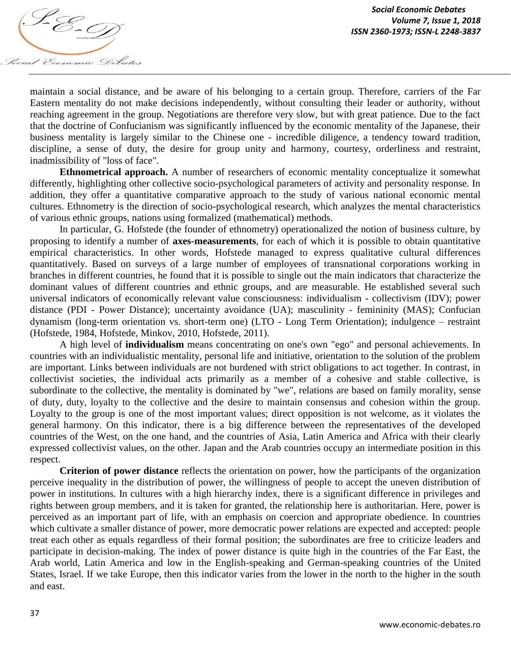

maintain a social distance, and be aware of his belonging to a certain group. Therefore, carriers of the Far Eastern mentality do not make decisions independently, without consulting their leader or authority, without reaching agreement in the group. Negotiations are therefore very slow, but with great patience. Due to the fact that the doctrine of Confucianism was significantly influenced by the economic mentality of the Japanese, their business mentality is largely similar to the Chinese one - incredible diligence, a tendency toward tradition, discipline, a sense of duty, the desire for group unity and harmony, courtesy, orderliness and restraint, inadmissibility of "loss of face".

**Ethnometrical approach.** A number of researchers of economic mentality conceptualize it somewhat differently, highlighting other collective socio-psychological parameters of activity and personality response. In addition, they offer a quantitative comparative approach to the study of various national economic mental cultures. Ethnometry is the direction of socio-psychological research, which analyzes the mental characteristics of various ethnic groups, nations using formalized (mathematical) methods.

In particular, G. Hofstede (the founder of ethnometry) operationalized the notion of business culture, by proposing to identify a number of **axes-measurements**, for each of which it is possible to obtain quantitative empirical characteristics. In other words, Hofstede managed to express qualitative cultural differences quantitatively. Based on surveys of a large number of employees of transnational corporations working in branches in different countries, he found that it is possible to single out the main indicators that characterize the dominant values of different countries and ethnic groups, and are measurable. He established several such universal indicators of economically relevant value consciousness: individualism - collectivism (IDV); power distance (PDI - Power Distance); uncertainty avoidance (UA); masculinity - femininity (MAS); Confucian dynamism (long-term orientation vs. short-term one) (LTO - Long Term Orientation); indulgence – restraint (Hofstede, 1984, Hofstede, Minkov, 2010, Hofstede, 2011).

A high level of **individualism** means concentrating on one's own "ego" and personal achievements. In countries with an individualistic mentality, personal life and initiative, orientation to the solution of the problem are important. Links between individuals are not burdened with strict obligations to act together. In contrast, in collectivist societies, the individual acts primarily as a member of a cohesive and stable collective, is subordinate to the collective, the mentality is dominated by "we", relations are based on family morality, sense of duty, duty, loyalty to the collective and the desire to maintain consensus and cohesion within the group. Loyalty to the group is one of the most important values; direct opposition is not welcome, as it violates the general harmony. On this indicator, there is a big difference between the representatives of the developed countries of the West, on the one hand, and the countries of Asia, Latin America and Africa with their clearly expressed collectivist values, on the other. Japan and the Arab countries occupy an intermediate position in this respect.

**Criterion of power distance** reflects the orientation on power, how the participants of the organization perceive inequality in the distribution of power, the willingness of people to accept the uneven distribution of power in institutions. In cultures with a high hierarchy index, there is a significant difference in privileges and rights between group members, and it is taken for granted, the relationship here is authoritarian. Here, power is perceived as an important part of life, with an emphasis on coercion and appropriate obedience. In countries which cultivate a smaller distance of power, more democratic power relations are expected and accepted: people treat each other as equals regardless of their formal position; the subordinates are free to criticize leaders and participate in decision-making. The index of power distance is quite high in the countries of the Far East, the Arab world, Latin America and low in the English-speaking and German-speaking countries of the United States, Israel. If we take Europe, then this indicator varies from the lower in the north to the higher in the south and east.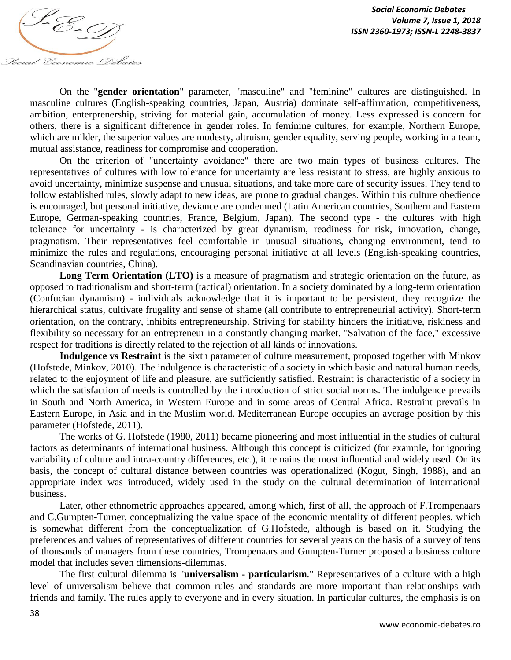

On the "**gender orientation**" parameter, "masculine" and "feminine" cultures are distinguished. In masculine cultures (English-speaking countries, Japan, Austria) dominate self-affirmation, competitiveness, ambition, enterprenership, striving for material gain, accumulation of money. Less expressed is concern for others, there is a significant difference in gender roles. In feminine cultures, for example, Northern Europe, which are milder, the superior values are modesty, altruism, gender equality, serving people, working in a team, mutual assistance, readiness for compromise and cooperation.

On the criterion of "uncertainty avoidance" there are two main types of business cultures. The representatives of cultures with low tolerance for uncertainty are less resistant to stress, are highly anxious to avoid uncertainty, minimize suspense and unusual situations, and take more care of security issues. They tend to follow established rules, slowly adapt to new ideas, are prone to gradual changes. Within this culture obedience is encouraged, but personal initiative, deviance are condemned (Latin American countries, Southern and Eastern Europe, German-speaking countries, France, Belgium, Japan). The second type - the cultures with high tolerance for uncertainty - is characterized by great dynamism, readiness for risk, innovation, change, pragmatism. Their representatives feel comfortable in unusual situations, changing environment, tend to minimize the rules and regulations, encouraging personal initiative at all levels (English-speaking countries, Scandinavian countries, China).

**Long Term Orientation (LTO)** is a measure of pragmatism and strategic orientation on the future, as opposed to traditionalism and short-term (tactical) orientation. In a society dominated by a long-term orientation (Confucian dynamism) - individuals acknowledge that it is important to be persistent, they recognize the hierarchical status, cultivate frugality and sense of shame (all contribute to entrepreneurial activity). Short-term orientation, on the contrary, inhibits entrepreneurship. Striving for stability hinders the initiative, riskiness and flexibility so necessary for an entrepreneur in a constantly changing market. "Salvation of the face," excessive respect for traditions is directly related to the rejection of all kinds of innovations.

**Indulgence vs Restraint** is the sixth parameter of culture measurement, proposed together with Minkov (Hofstede, Minkov, 2010). The indulgence is characteristic of a society in which basic and natural human needs, related to the enjoyment of life and pleasure, are sufficiently satisfied. Restraint is characteristic of a society in which the satisfaction of needs is controlled by the introduction of strict social norms. The indulgence prevails in South and North America, in Western Europe and in some areas of Central Africa. Restraint prevails in Eastern Europe, in Asia and in the Muslim world. Mediterranean Europe occupies an average position by this parameter (Hofstede, 2011).

The works of G. Hofstede (1980, 2011) became pioneering and most influential in the studies of cultural factors as determinants of international business. Although this concept is criticized (for example, for ignoring variability of culture and intra-country differences, etc.), it remains the most influential and widely used. On its basis, the concept of cultural distance between countries was operationalized (Kogut, Singh, 1988), and an appropriate index was introduced, widely used in the study on the cultural determination of international business.

Later, other ethnometric approaches appeared, among which, first of all, the approach of F.Trompenaars and C.Gumpten-Turner, conceptualizing the value space of the economic mentality of different peoples, which is somewhat different from the conceptualization of G.Hofstede, although is based on it. Studying the preferences and values of representatives of different countries for several years on the basis of a survey of tens of thousands of managers from these countries, Trompenaars and Gumpten-Turner proposed a business culture model that includes seven dimensions-dilemmas.

The first cultural dilemma is "**universalism - particularism**." Representatives of a culture with a high level of universalism believe that common rules and standards are more important than relationships with friends and family. The rules apply to everyone and in every situation. In particular cultures, the emphasis is on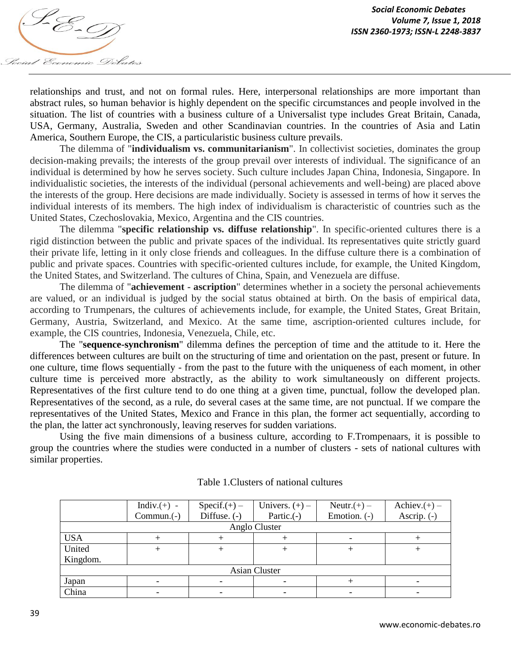

relationships and trust, and not on formal rules. Here, interpersonal relationships are more important than abstract rules, so human behavior is highly dependent on the specific circumstances and people involved in the situation. The list of countries with a business culture of a Universalist type includes Great Britain, Canada, USA, Germany, Australia, Sweden and other Scandinavian countries. In the countries of Asia and Latin America, Southern Europe, the CIS, a particularistic business culture prevails.

The dilemma of "**individualism vs. communitarianism**". In collectivist societies, dominates the group decision-making prevails; the interests of the group prevail over interests of individual. The significance of an individual is determined by how he serves society. Such culture includes Japan China, Indonesia, Singapore. In individualistic societies, the interests of the individual (personal achievements and well-being) are placed above the interests of the group. Here decisions are made individually. Society is assessed in terms of how it serves the individual interests of its members. The high index of individualism is characteristic of countries such as the United States, Czechoslovakia, Mexico, Argentina and the CIS countries.

The dilemma "**specific relationship vs. diffuse relationship**". In specific-oriented cultures there is a rigid distinction between the public and private spaces of the individual. Its representatives quite strictly guard their private life, letting in it only close friends and colleagues. In the diffuse culture there is a combination of public and private spaces. Countries with specific-oriented cultures include, for example, the United Kingdom, the United States, and Switzerland. The cultures of China, Spain, and Venezuela are diffuse.

The dilemma of "**achievement - ascription**" determines whether in a society the personal achievements are valued, or an individual is judged by the social status obtained at birth. On the basis of empirical data, according to Trumpenars, the cultures of achievements include, for example, the United States, Great Britain, Germany, Austria, Switzerland, and Mexico. At the same time, ascription-oriented cultures include, for example, the CIS countries, Indonesia, Venezuela, Chile, etc.

The "**sequence-synchronism**" dilemma defines the perception of time and the attitude to it. Here the differences between cultures are built on the structuring of time and orientation on the past, present or future. In one culture, time flows sequentially - from the past to the future with the uniqueness of each moment, in other culture time is perceived more abstractly, as the ability to work simultaneously on different projects. Representatives of the first culture tend to do one thing at a given time, punctual, follow the developed plan. Representatives of the second, as a rule, do several cases at the same time, are not punctual. If we compare the representatives of the United States, Mexico and France in this plan, the former act sequentially, according to the plan, the latter act synchronously, leaving reserves for sudden variations.

Using the five main dimensions of a business culture, according to F.Trompenaars, it is possible to group the countries where the studies were conducted in a number of clusters - sets of national cultures with similar properties.

|               | Indiv. $(+)$ - | $Specific(+)$ – | Univers. $(+)$ – | Neutr. $(+)$ – | $\text{Achiev.}(+)$ – |  |  |  |
|---------------|----------------|-----------------|------------------|----------------|-----------------------|--|--|--|
|               | $Common.(-)$   | Diffuse. $(-)$  | Partic. $(-)$    | Emotion. (-)   | Ascrip. (-)           |  |  |  |
| Anglo Cluster |                |                 |                  |                |                       |  |  |  |
| <b>USA</b>    |                |                 |                  |                |                       |  |  |  |
| United        |                |                 |                  |                |                       |  |  |  |
| Kingdom.      |                |                 |                  |                |                       |  |  |  |
| Asian Cluster |                |                 |                  |                |                       |  |  |  |
| Japan         |                |                 |                  |                |                       |  |  |  |
| China         |                |                 |                  |                |                       |  |  |  |

Table 1.Clusters of national cultures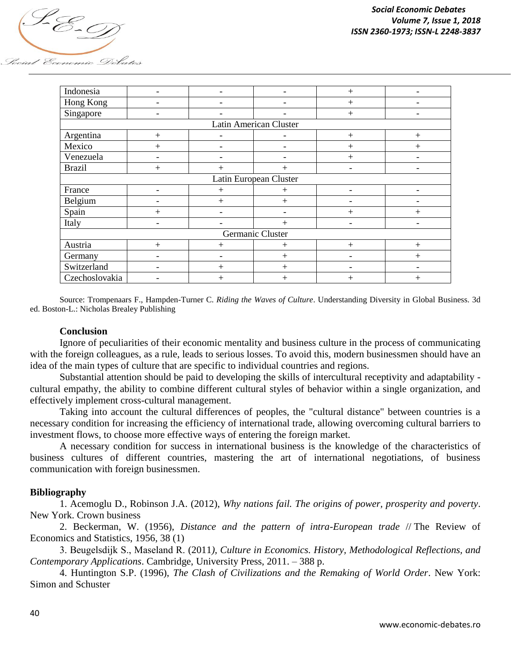

| Indonesia              |     |                | ۰            | $+$  | -                        |  |  |  |
|------------------------|-----|----------------|--------------|------|--------------------------|--|--|--|
| Hong Kong              |     |                |              | $+$  |                          |  |  |  |
| Singapore              |     |                |              | $+$  |                          |  |  |  |
| Latin American Cluster |     |                |              |      |                          |  |  |  |
| Argentina              | $+$ |                |              | $+$  | $+$                      |  |  |  |
| Mexico                 | $+$ |                |              | $+$  | $\overline{+}$           |  |  |  |
| Venezuela              |     |                |              | $+$  |                          |  |  |  |
| <b>Brazil</b>          | $+$ | $^{+}$         | $^{+}$       |      |                          |  |  |  |
| Latin European Cluster |     |                |              |      |                          |  |  |  |
| France                 |     | $\overline{+}$ | $^{+}$       |      |                          |  |  |  |
| Belgium                |     | $+$            | $+$          |      |                          |  |  |  |
| Spain                  | $+$ |                | -            | $+$  | $^{+}$                   |  |  |  |
| Italy                  |     |                | $+$          |      | $\overline{\phantom{a}}$ |  |  |  |
| Germanic Cluster       |     |                |              |      |                          |  |  |  |
| Austria                | $+$ | $+$            | $^{+}$       | $+$  | $+$                      |  |  |  |
| Germany                |     |                | $+$          |      | $^{+}$                   |  |  |  |
| Switzerland            |     | $+$            | $+$          |      |                          |  |  |  |
| Czechoslovakia         |     | $\overline{+}$ | $\mathrm{+}$ | $^+$ | $\overline{+}$           |  |  |  |

Source: Trompenaars F., Hampden-Turner C. *Riding the Waves of Culture*. Understanding Diversity in Global Business. 3d ed. Boston-L.: Nicholas Brealey Publishing

## **Conclusion**

Ignore of peculiarities of their economic mentality and business culture in the process of communicating with the foreign colleagues, as a rule, leads to serious losses. To avoid this, modern businessmen should have an idea of the main types of culture that are specific to individual countries and regions.

Substantial attention should be paid to developing the skills of intercultural receptivity and adaptability cultural empathy, the ability to combine different cultural styles of behavior within a single organization, and effectively implement cross-cultural management.

Taking into account the cultural differences of peoples, the "cultural distance" between countries is a necessary condition for increasing the efficiency of international trade, allowing overcoming cultural barriers to investment flows, to choose more effective ways of entering the foreign market.

A necessary condition for success in international business is the knowledge of the characteristics of business cultures of different countries, mastering the art of international negotiations, of business communication with foreign businessmen.

## **Bibliography**

1. Acemoglu D., Robinson J.A. (2012), *Why nations fail. The origins of power, prosperity and poverty*. New York. Crown business

2. Beckerman, W. (1956), *Distance and the pattern of intra-European trade* // The Review of Economics and Statistics, 1956, 38 (1)

3. Beugelsdijk S., Маseland R. (2011*), Culture in Economics. History, Methodological Reflections, and Contemporary Applications*. Cambridge, University Press, 2011. – 388 p.

4. Huntington S.P. (1996), *The Clash of Civilizations and the Remaking of World Order*. New York: Simon and Schuster